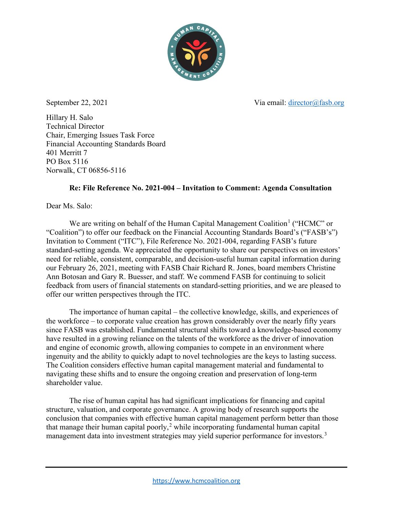

September 22, 2021 Via email: [director@fasb.org](mailto:director@fasb.org)

Hillary H. Salo Technical Director Chair, Emerging Issues Task Force Financial Accounting Standards Board 401 Merritt 7 PO Box 5116 Norwalk, CT 06856-5116

# **Re: File Reference No. 2021-004 – Invitation to Comment: Agenda Consultation**

Dear Ms. Salo:

We are writing on behalf of the [Human Capital Management Coalition](https://www.hcmcoalition.org/about)<sup>[1](#page-9-0)</sup> ("HCMC" or "Coalition") to offer our feedback on the Financial Accounting Standards Board's ("FASB's") Invitation to Comment ("ITC"), File Reference No. 2021-004, regarding FASB's future standard-setting agenda. We appreciated the opportunity to share our perspectives on investors' need for reliable, consistent, comparable, and decision-useful human capital information during our February 26, 2021, meeting with FASB Chair Richard R. Jones, board members Christine Ann Botosan and Gary R. Buesser, and staff. We commend FASB for continuing to solicit feedback from users of financial statements on standard-setting priorities, and we are pleased to offer our written perspectives through the ITC.

The importance of human capital – the collective knowledge, skills, and experiences of the workforce – to corporate value creation has grown considerably over the nearly fifty years since FASB was established. Fundamental structural shifts toward a knowledge-based economy have resulted in a growing reliance on the talents of the workforce as the driver of innovation and engine of economic growth, allowing companies to compete in an environment where ingenuity and the ability to quickly adapt to novel technologies are the keys to lasting success. The Coalition considers effective human capital management material and fundamental to navigating these shifts and to ensure the ongoing creation and preservation of long-term shareholder value.

The rise of human capital has had significant implications for financing and capital structure, valuation, and corporate governance. A growing body of research supports the conclusion that companies with effective human capital management perform better than those that manage their human capital poorly,<sup>[2](#page-9-1)</sup> while incorporating fundamental human capital management data into investment strategies may yield superior performance for investors.<sup>[3](#page-9-2)</sup>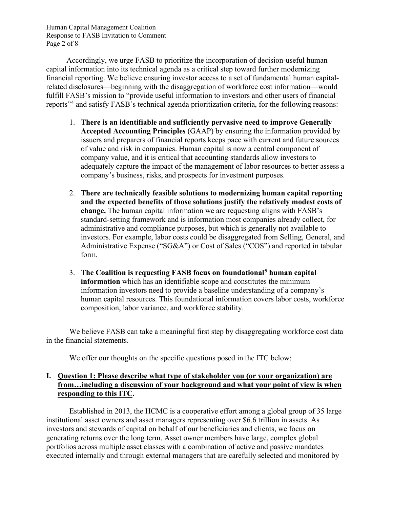Human Capital Management Coalition Response to FASB Invitation to Comment Page 2 of 8

Accordingly, we urge FASB to prioritize the incorporation of decision-useful human capital information into its technical agenda as a critical step toward further modernizing financial reporting. We believe ensuring investor access to a set of fundamental human capitalrelated disclosures—beginning with the disaggregation of workforce cost information—would fulfill FASB's mission to "provide useful information to investors and other users of financial reports"[4](#page-9-3) and satisfy FASB's technical agenda prioritization criteria, for the following reasons:

- 1. **There is an identifiable and sufficiently pervasive need to improve Generally Accepted Accounting Principles** (GAAP) by ensuring the information provided by issuers and preparers of financial reports keeps pace with current and future sources of value and risk in companies. Human capital is now a central component of company value, and it is critical that accounting standards allow investors to adequately capture the impact of the management of labor resources to better assess a company's business, risks, and prospects for investment purposes.
- 2. **There are technically feasible solutions to modernizing human capital reporting and the expected benefits of those solutions justify the relatively modest costs of change.** The human capital information we are requesting aligns with FASB's standard-setting framework and is information most companies already collect, for administrative and compliance purposes, but which is generally not available to investors. For example, labor costs could be disaggregated from Selling, General, and Administrative Expense ("SG&A") or Cost of Sales ("COS") and reported in tabular form.
- 3. **The Coalition is requesting FASB focus on foundational[5](#page-9-4) human capital information** which has an identifiable scope and constitutes the minimum information investors need to provide a baseline understanding of a company's human capital resources. This foundational information covers labor costs, workforce composition, labor variance, and workforce stability.

We believe FASB can take a meaningful first step by disaggregating workforce cost data in the financial statements.

We offer our thoughts on the specific questions posed in the ITC below:

# **I. Question 1: Please describe what type of stakeholder you (or your organization) are from…including a discussion of your background and what your point of view is when responding to this ITC.**

Established in 2013, the HCMC is a cooperative effort among a global group of 35 large institutional asset owners and asset managers representing over \$6.6 trillion in assets. As investors and stewards of capital on behalf of our beneficiaries and clients, we focus on generating returns over the long term. Asset owner members have large, complex global portfolios across multiple asset classes with a combination of active and passive mandates executed internally and through external managers that are carefully selected and monitored by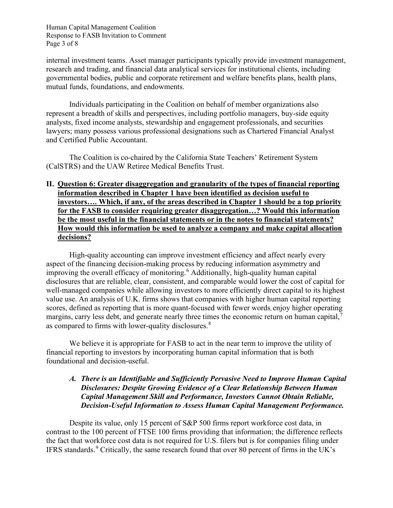Human Capital Management Coalition Response to FASB Invitation to Comment Page 3 of 8

internal investment teams. Asset manager participants typically provide investment management, research and trading, and financial data analytical services for institutional clients, including governmental bodies, public and corporate retirement and welfare benefits plans, health plans, mutual funds, foundations, and endowments.

Individuals participating in the Coalition on behalf of member organizations also represent a breadth of skills and perspectives, including portfolio managers, buy-side equity analysts, fixed income analysts, stewardship and engagement professionals, and securities lawyers; many possess various professional designations such as Chartered Financial Analyst and Certified Public Accountant.

The Coalition is co-chaired by the California State Teachers' Retirement System (CalSTRS) and the UAW Retiree Medical Benefits Trust.

#### **II. Question 6: Greater disaggregation and granularity of the types of financial reporting information described in Chapter 1 have been identified as decision useful to investors…. Which, if any, of the areas described in Chapter 1 should be a top priority for the FASB to consider requiring greater disaggregation…? Would this information be the most useful in the financial statements or in the notes to financial statements? How would this information be used to analyze a company and make capital allocation decisions?**

High-quality accounting can improve investment efficiency and affect nearly every aspect of the financing decision-making process by reducing information asymmetry and improving the overall efficacy of monitoring.<sup>[6](#page-9-5)</sup> Additionally, high-quality human capital disclosures that are reliable, clear, consistent, and comparable would lower the cost of capital for well-managed companies while allowing investors to more efficiently direct capital to its highest value use. An analysis of U.K. firms shows that companies with higher human capital reporting scores, defined as reporting that is more quant-focused with fewer words, enjoy higher operating margins, carry less debt, and generate nearly three times the economic return on human capital,<sup>[7](#page-9-6)</sup> as compared to firms with lower-quality disclosures.<sup>[8](#page-10-0)</sup>

We believe it is appropriate for FASB to act in the near term to improve the utility of financial reporting to investors by incorporating human capital information that is both foundational and decision-useful.

#### *A. There is an Identifiable and Sufficiently Pervasive Need to Improve Human Capital Disclosures: Despite Growing Evidence of a Clear Relationship Between Human Capital Management Skill and Performance, Investors Cannot Obtain Reliable, Decision-Useful Information to Assess Human Capital Management Performance.*

Despite its value, only 15 percent of S&P 500 firms report workforce cost data, in contrast to the 100 percent of FTSE 100 firms providing that information; the difference reflects the fact that workforce cost data is not required for U.S. filers but is for companies filing under IFRS standards.<sup>[9](#page-10-1)</sup> Critically, the same research found that over 80 percent of firms in the UK's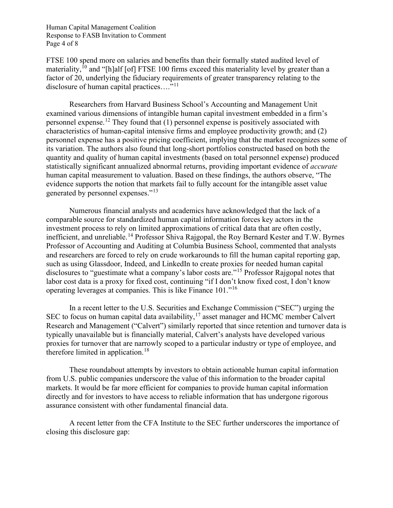Human Capital Management Coalition Response to FASB Invitation to Comment Page 4 of 8

FTSE 100 spend more on salaries and benefits than their formally stated audited level of materiality,  $^{10}$  $^{10}$  $^{10}$  and "[h]alf [of] FTSE 100 firms exceed this materiality level by greater than a factor of 20, underlying the fiduciary requirements of greater transparency relating to the disclosure of human capital practices...."<sup>[11](#page-10-3)</sup>

Researchers from Harvard Business School's Accounting and Management Unit examined various dimensions of intangible human capital investment embedded in a firm's personnel expense.<sup>[12](#page-10-4)</sup> They found that  $(1)$  personnel expense is positively associated with characteristics of human-capital intensive firms and employee productivity growth; and (2) personnel expense has a positive pricing coefficient, implying that the market recognizes some of its variation. The authors also found that long-short portfolios constructed based on both the quantity and quality of human capital investments (based on total personnel expense) produced statistically significant annualized abnormal returns, providing important evidence of *accurate* human capital measurement to valuation. Based on these findings, the authors observe, "The evidence supports the notion that markets fail to fully account for the intangible asset value generated by personnel expenses."[13](#page-10-5) 

Numerous financial analysts and academics have acknowledged that the lack of a comparable source for standardized human capital information forces key actors in the investment process to rely on limited approximations of critical data that are often costly, inefficient, and unreliable.<sup>[14](#page-10-6)</sup> Professor Shiva Rajgopal, the Roy Bernard Kester and T.W. Byrnes Professor of Accounting and Auditing at Columbia Business School, commented that analysts and researchers are forced to rely on crude workarounds to fill the human capital reporting gap, such as using Glassdoor, Indeed, and LinkedIn to create proxies for needed human capital disclosures to "guestimate what a company's labor costs are."<sup>[15](#page-10-7)</sup> Professor Rajgopal notes that labor cost data is a proxy for fixed cost, continuing "if I don't know fixed cost, I don't know operating leverages at companies. This is like Finance 101."[16](#page-10-8)

In a recent letter to the U.S. Securities and Exchange Commission ("SEC") urging the SEC to focus on human capital data availability,  $17$  asset manager and HCMC member Calvert Research and Management ("Calvert") similarly reported that since retention and turnover data is typically unavailable but is financially material, Calvert's analysts have developed various proxies for turnover that are narrowly scoped to a particular industry or type of employee, and therefore limited in application.<sup>[18](#page-10-10)</sup>

These roundabout attempts by investors to obtain actionable human capital information from U.S. public companies underscore the value of this information to the broader capital markets. It would be far more efficient for companies to provide human capital information directly and for investors to have access to reliable information that has undergone rigorous assurance consistent with other fundamental financial data.

A recent letter from the CFA Institute to the SEC further underscores the importance of closing this disclosure gap: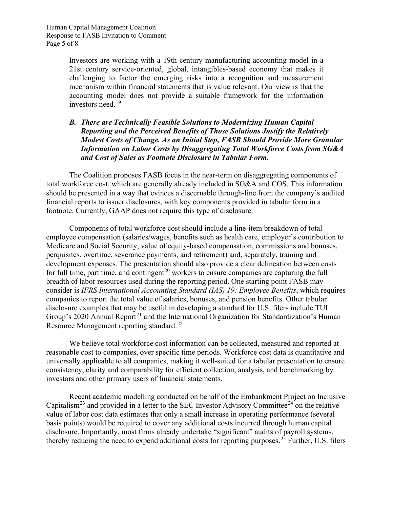Investors are working with a 19th century manufacturing accounting model in a 21st century service-oriented, global, intangibles-based economy that makes it challenging to factor the emerging risks into a recognition and measurement mechanism within financial statements that is value relevant. Our view is that the accounting model does not provide a suitable framework for the information investors need.<sup>[19](#page-10-11)</sup>

#### *B. There are Technically Feasible Solutions to Modernizing Human Capital Reporting and the Perceived Benefits of Those Solutions Justify the Relatively Modest Costs of Change. As an Initial Step, FASB Should Provide More Granular Information on Labor Costs by Disaggregating Total Workforce Costs from SG&A and Cost of Sales as Footnote Disclosure in Tabular Form.*

The Coalition proposes FASB focus in the near-term on disaggregating components of total workforce cost, which are generally already included in SG&A and COS. This information should be presented in a way that evinces a discernable through-line from the company's audited financial reports to issuer disclosures, with key components provided in tabular form in a footnote. Currently, GAAP does not require this type of disclosure.

Components of total workforce cost should include a line-item breakdown of total employee compensation (salaries/wages, benefits such as health care, employer's contribution to Medicare and Social Security, value of equity-based compensation, commissions and bonuses, perquisites, overtime, severance payments, and retirement) and, separately, training and development expenses. The presentation should also provide a clear delineation between costs for full time, part time, and contingent<sup>[20](#page-10-12)</sup> workers to ensure companies are capturing the full breadth of labor resources used during the reporting period. One starting point FASB may consider is *IFRS International Accounting Standard (IAS) 19: Employee Benefits*, which requires companies to report the total value of salaries, bonuses, and pension benefits. Other tabular disclosure examples that may be useful in developing a standard for U.S. filers include TUI Group's 2020 Annual Report<sup>[21](#page-10-13)</sup> and the International Organization for Standardization's Human Resource Management reporting standard.<sup>[22](#page-10-14)</sup>

We believe total workforce cost information can be collected, measured and reported at reasonable cost to companies, over specific time periods. Workforce cost data is quantitative and universally applicable to all companies, making it well-suited for a tabular presentation to ensure consistency, clarity and comparability for efficient collection, analysis, and benchmarking by investors and other primary users of financial statements.

Recent academic modelling conducted on behalf of the Embankment Project on Inclusive Capitalism<sup>[23](#page-10-15)</sup> and provided in a letter to the SEC Investor Advisory Committee<sup>[24](#page-10-16)</sup> on the relative value of labor cost data estimates that only a small increase in operating performance (several basis points) would be required to cover any additional costs incurred through human capital disclosure. Importantly, most firms already undertake "significant" audits of payroll systems, thereby reducing the need to expend additional costs for reporting purposes.<sup>[25](#page-10-17)</sup> Further, U.S. filers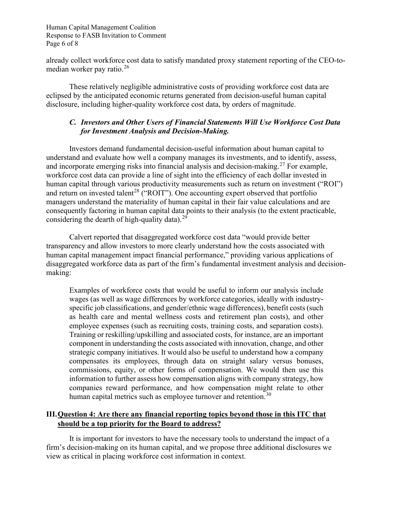Human Capital Management Coalition Response to FASB Invitation to Comment Page 6 of 8

already collect workforce cost data to satisfy mandated proxy statement reporting of the CEO-tomedian worker pay ratio. $26$ 

These relatively negligible administrative costs of providing workforce cost data are eclipsed by the anticipated economic returns generated from decision-useful human capital disclosure, including higher-quality workforce cost data, by orders of magnitude.

## *C. Investors and Other Users of Financial Statements Will Use Workforce Cost Data for Investment Analysis and Decision-Making.*

Investors demand fundamental decision-useful information about human capital to understand and evaluate how well a company manages its investments, and to identify, assess, and incorporate emerging risks into financial analysis and decision-making.<sup>[27](#page-11-0)</sup> For example, workforce cost data can provide a line of sight into the efficiency of each dollar invested in human capital through various productivity measurements such as return on investment ("ROI") and return on invested talent<sup>[28](#page-11-1)</sup> ("ROIT"). One accounting expert observed that portfolio managers understand the materiality of human capital in their fair value calculations and are consequently factoring in human capital data points to their analysis (to the extent practicable, considering the dearth of high-quality data).<sup>[29](#page-11-2)</sup>

Calvert reported that disaggregated workforce cost data "would provide better transparency and allow investors to more clearly understand how the costs associated with human capital management impact financial performance," providing various applications of disaggregated workforce data as part of the firm's fundamental investment analysis and decisionmaking:

Examples of workforce costs that would be useful to inform our analysis include wages (as well as wage differences by workforce categories, ideally with industryspecific job classifications, and gender/ethnic wage differences), benefit costs (such as health care and mental wellness costs and retirement plan costs), and other employee expenses (such as recruiting costs, training costs, and separation costs). Training or reskilling/upskilling and associated costs, for instance, are an important component in understanding the costs associated with innovation, change, and other strategic company initiatives. It would also be useful to understand how a company compensates its employees, through data on straight salary versus bonuses, commissions, equity, or other forms of compensation. We would then use this information to further assess how compensation aligns with company strategy, how companies reward performance, and how compensation might relate to other human capital metrics such as employee turnover and retention.<sup>[30](#page-11-3)</sup>

## **III.Question 4: Are there any financial reporting topics beyond those in this ITC that should be a top priority for the Board to address?**

It is important for investors to have the necessary tools to understand the impact of a firm's decision-making on its human capital, and we propose three additional disclosures we view as critical in placing workforce cost information in context.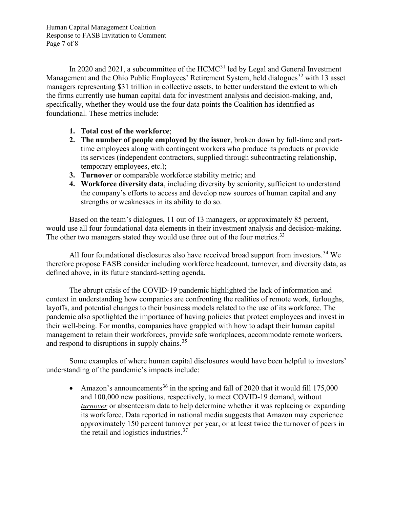Human Capital Management Coalition Response to FASB Invitation to Comment Page 7 of 8

In 2020 and 2021, a subcommittee of the  $HCMC<sup>31</sup>$  $HCMC<sup>31</sup>$  $HCMC<sup>31</sup>$  led by Legal and General Investment Management and the Ohio Public Employees' Retirement System, held dialogues<sup>[32](#page-11-5)</sup> with 13 asset managers representing \$31 trillion in collective assets, to better understand the extent to which the firms currently use human capital data for investment analysis and decision-making, and, specifically, whether they would use the four data points the Coalition has identified as foundational. These metrics include:

- **1. Total cost of the workforce**;
- **2. The number of people employed by the issuer**, broken down by full-time and parttime employees along with contingent workers who produce its products or provide its services (independent contractors, supplied through subcontracting relationship, temporary employees, etc.);
- **3. Turnover** or comparable workforce stability metric; and
- **4. Workforce diversity data**, including diversity by seniority, sufficient to understand the company's efforts to access and develop new sources of human capital and any strengths or weaknesses in its ability to do so.

Based on the team's dialogues, 11 out of 13 managers, or approximately 85 percent, would use all four foundational data elements in their investment analysis and decision-making. The other two managers stated they would use three out of the four metrics.<sup>[33](#page-11-6)</sup>

All four foundational disclosures also have received broad support from investors.<sup>[34](#page-11-7)</sup> We therefore propose FASB consider including workforce headcount, turnover, and diversity data, as defined above, in its future standard-setting agenda.

The abrupt crisis of the COVID-19 pandemic highlighted the lack of information and context in understanding how companies are confronting the realities of remote work, furloughs, layoffs, and potential changes to their business models related to the use of its workforce. The pandemic also spotlighted the importance of having policies that protect employees and invest in their well-being. For months, companies have grappled with how to adapt their human capital management to retain their workforces, provide safe workplaces, accommodate remote workers, and respond to disruptions in supply chains.<sup>[35](#page-11-8)</sup>

Some examples of where human capital disclosures would have been helpful to investors' understanding of the pandemic's impacts include:

• Amazon's announcements<sup>[36](#page-11-9)</sup> in the spring and fall of 2020 that it would fill 175,000 and 100,000 new positions, respectively, to meet COVID-19 demand, without *turnover* or absenteeism data to help determine whether it was replacing or expanding its workforce. Data reported in national media suggests that Amazon may experience approximately 150 percent turnover per year, or at least twice the turnover of peers in the retail and logistics industries.<sup>[37](#page-11-10)</sup>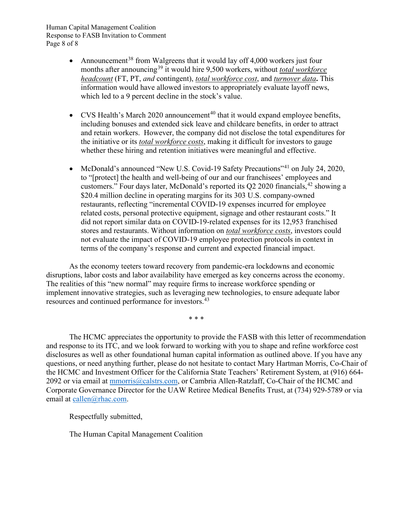Human Capital Management Coalition Response to FASB Invitation to Comment Page 8 of 8

- Announcement<sup>[38](#page-11-11)</sup> from Walgreens that it would lay off 4,000 workers just four months after announcing<sup>[39](#page-11-12)</sup> it would hire 9,500 workers, without *total workforce headcount* (FT, PT, *and* contingent), *total workforce cost*, and *turnover data***.** This information would have allowed investors to appropriately evaluate layoff news, which led to a 9 percent decline in the stock's value.
- CVS Health's March 2020 announcement<sup>[40](#page-11-13)</sup> that it would expand employee benefits, including bonuses and extended sick leave and childcare benefits, in order to attract and retain workers. However, the company did not disclose the total expenditures for the initiative or its *total workforce costs*, making it difficult for investors to gauge whether these hiring and retention initiatives were meaningful and effective.
- McDonald's announced "New U.S. Covid-19 Safety Precautions"<sup>[41](#page-11-0)</sup> on July 24, 2020, to "[protect] the health and well-being of our and our franchisees' employees and customers." Four days later, McDonald's reported its  $Q2 2020$  financials,  $42$  showing a \$20.4 million decline in operating margins for its 303 U.S. company-owned restaurants, reflecting "incremental COVID-19 expenses incurred for employee related costs, personal protective equipment, signage and other restaurant costs." It did not report similar data on COVID-19-related expenses for its 12,953 franchised stores and restaurants. Without information on *total workforce costs*, investors could not evaluate the impact of COVID-19 employee protection protocols in context in terms of the company's response and current and expected financial impact.

As the economy teeters toward recovery from pandemic-era lockdowns and economic disruptions, labor costs and labor availability have emerged as key concerns across the economy. The realities of this "new normal" may require firms to increase workforce spending or implement innovative strategies, such as leveraging new technologies, to ensure adequate labor resources and continued performance for investors.[43](#page-11-15)

\* \* \*

The HCMC appreciates the opportunity to provide the FASB with this letter of recommendation and response to its ITC, and we look forward to working with you to shape and refine workforce cost disclosures as well as other foundational human capital information as outlined above. If you have any questions, or need anything further, please do not hesitate to contact Mary Hartman Morris, Co-Chair of the HCMC and Investment Officer for the California State Teachers' Retirement System, at (916) 664 2092 or via email at [mmorris@calstrs.com,](mailto:mmorris@calstrs.com) or Cambria Allen-Ratzlaff, Co-Chair of the HCMC and Corporate Governance Director for the UAW Retiree Medical Benefits Trust, at (734) 929-5789 or via email at [callen@rhac.com.](mailto:callen@rhac.com)

Respectfully submitted,

The Human Capital Management Coalition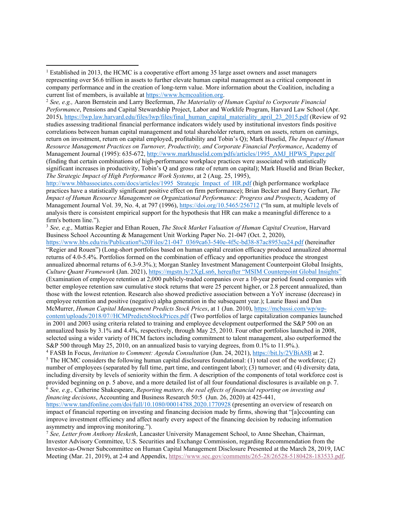<sup>2</sup> *See, e.g.,* Aaron Bernstein and Larry Beeferman, *The Materiality of Human Capital to Corporate Financial Performance*, Pensions and Capital Stewardship Project, Labor and Worklife Program, Harvard Law School (Apr. 2015), [https://lwp.law.harvard.edu/files/lwp/files/final\\_human\\_capital\\_materiality\\_april\\_23\\_2015.pdf](https://lwp.law.harvard.edu/files/lwp/files/final_human_capital_materiality_april_23_2015.pdf) (Review of 92 studies assessing traditional financial performance indicators widely used by institutional investors finds positive correlations between human capital management and total shareholder return, return on assets, return on earnings, return on investment, return on capital employed, profitability and Tobin's Q); Mark Huselid, *The Impact of Human Resource Management Practices on Turnover, Productivity, and Corporate Financial Performance*, Academy of Management Journal (1995): 635-672, [http://www.markhuselid.com/pdfs/articles/1995\\_AMJ\\_HPWS\\_Paper.pdf](http://www.markhuselid.com/pdfs/articles/1995_AMJ_HPWS_Paper.pdf) (finding that certain combinations of high-performance workplace practices were associated with statistically significant increases in productivity, Tobin's Q and gross rate of return on capital); Mark Huselid and Brian Becker, *The Strategic Impact of High Performance Work Systems*, at 2 (Aug. 25, 1995),

[http://www.bhbassociates.com/docs/articles/1995\\_Strategic\\_Impact\\_of\\_HR.pdf](http://www.bhbassociates.com/docs/articles/1995_Strategic_Impact_of_HR.pdf) (high performance workplace practices have a statistically significant positive effect on firm performance); Brian Becker and Barry Gerhart, *The Impact of Human Resource Management on Organizational Performance: Progress and Prospects*, Academy of Management Journal Vol. 39, No. 4, at 797 (1996)[, https://doi.org/10.5465/256712](https://doi.org/10.5465/256712) ("In sum, at multiple levels of analysis there is consistent empirical support for the hypothesis that HR can make a meaningful difference to a firm's bottom line.").

<sup>3</sup> *See, e.g.,* Mattias Regier and Ethan Rouen, *The Stock Market Valuation of Human Capital Creation*, Harvard Business School Accounting & Management Unit Working Paper No. 21-047 (Oct. 2, 2020),

[https://www.hbs.edu/ris/Publication%20Files/21-047\\_0369ca63-540e-4f5c-bd38-87ac8953ea24.pdf](https://www.hbs.edu/ris/Publication%20Files/21-047_0369ca63-540e-4f5c-bd38-87ac8953ea24.pdf) (hereinafter "Regier and Rouen") (Long-short portfolios based on human capital creation efficacy produced annualized abnormal returns of 4.0-5.4%. Portfolios formed on the combination of efficacy and opportunities produce the strongest annualized abnormal returns of 6.3-9.3%.); Morgan Stanley Investment Management Counterpoint Global Insights, *Culture Quant Framework* (Jan. 2021)[, https://mgstn.ly/2XgLsn6,](https://mgstn.ly/2XgLsn6) hereafter "MSIM Counterpoint Global Insights" (Examination of employee retention at 2,000 publicly-traded companies over a 10-year period found companies with better employee retention saw cumulative stock returns that were 25 percent higher, or 2.8 percent annualized, than those with the lowest retention. Research also showed predictive association between a YoY increase (decrease) in employee retention and positive (negative) alpha generation in the subsequent year.); Laurie Bassi and Dan McMurrer, *Human Capital Management Predicts Stock Prices*, at 1 (Jun. 2010), [https://mcbassi.com/wp/wp](https://mcbassi.com/wp/wp-content/uploads/2018/07/HCMPredictsStockPrices.pdf)[content/uploads/2018/07//HCMPredictsStockPrices.pdf](https://mcbassi.com/wp/wp-content/uploads/2018/07/HCMPredictsStockPrices.pdf) (Two portfolios of large capitalization companies launched in 2001 and 2003 using criteria related to training and employee development outperformed the S&P 500 on an annualized basis by 3.1% and 4.4%, respectively, through May 25, 2010. Four other portfolios launched in 2008,

selected using a wider variety of HCM factors including commitment to talent management, also outperformed the S&P 500 through May 25, 2010, on an annualized basis to varying degrees, from 0.1% to 11.9%.).

<sup>4</sup> FASB In Focus, *Invitation to Comment: Agenda Consultation* (Jun. 24, 2021)[, https://bit.ly/2VBiA8B](https://bit.ly/2VBiA8B) at 2. <sup>5</sup> The HCMC considers the following human capital disclosures foundational: (1) total cost of the workforce; (2) number of employees (separated by full time, part time, and contingent labor); (3) turnover; and (4) diversity data, including diversity by levels of seniority within the firm. A description of the components of total workforce cost is provided beginning on p. 5 above, and a more detailed list of all four foundational disclosures is available on p. 7. <sup>6</sup> *See, e.g.,* Catherine Shakespeare, *Reporting matters, the real effects of financial reporting on investing and financing decisions*, Accounting and Business Research 50:5 (Jun. 26, 2020) at 425-441,

<https://www.tandfonline.com/doi/full/10.1080/00014788.2020.1770928> (presenting an overview of research on impact of financial reporting on investing and financing decision made by firms, showing that "[a]ccounting can improve investment efficiency and affect nearly every aspect of the financing decision by reducing information asymmetry and improving monitoring.").

<sup>7</sup> *See, Letter from Anthony Hesketh*, Lancaster University Management School, to Anne Sheehan, Chairman, Investor Advisory Committee, U.S. Securities and Exchange Commission, regarding Recommendation from the Investor-as-Owner Subcommittee on Human Capital Management Disclosure Presented at the March 28, 2019, IAC Meeting (Mar. 21, 2019), at 2-4 and Appendix, [https://www.sec.gov/comments/265-28/26528-5180428-183533.pdf.](https://www.sec.gov/comments/265-28/26528-5180428-183533.pdf)

<sup>&</sup>lt;sup>1</sup> Established in 2013, the HCMC is a cooperative effort among 35 large asset owners and asset managers representing over \$6.6 trillion in assets to further elevate human capital management as a critical component in company performance and in the creation of long-term value. More information about the Coalition, including a current list of members, is available a[t https://www.hcmcoalition.org.](https://www.hcmcoalition.org/)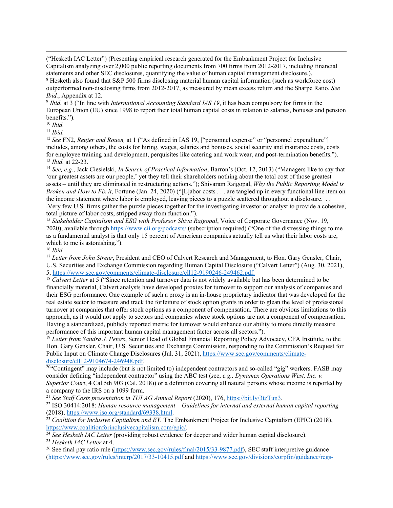("Hesketh IAC Letter") (Presenting empirical research generated for the Embankment Project for Inclusive Capitalism analyzing over 2,000 public reporting documents from 700 firms from 2012-2017, including financial statements and other SEC disclosures, quantifying the value of human capital management disclosure.). <sup>8</sup> Hesketh also found that S&P 500 firms disclosing material human capital information (such as workforce cost)

<span id="page-9-0"></span>outperformed non-disclosing firms from 2012-2017, as measured by mean excess return and the Sharpe Ratio. *See Ibid.*, Appendix at 12.

<span id="page-9-1"></span><sup>9</sup> *Ibid.* at 3 ("In line with *International Accounting Standard IAS 19*, it has been compulsory for firms in the European Union (EU) since 1998 to report their total human capital costs in relation to salaries, bonuses and pension benefits.").

<sup>10</sup> *Ibid.* 

<sup>11</sup> *Ibid.*

<sup>12</sup> *See FN2*, *Regier and Rouen*, at 1 ("As defined in IAS 19, ["personnel expense" or "personnel expenditure"] includes, among others, the costs for hiring, wages, salaries and bonuses, social security and insurance costs, costs for employee training and development, perquisites like catering and work wear, and post-termination benefits."). <sup>13</sup> *Ibid.* at 22-23.

<sup>14</sup> *See, e.g.*, Jack Ciesielski, *In Search of Practical Information*, Barron's (Oct. 12, 2013) ("Managers like to say that 'our greatest assets are our people,' yet they tell their shareholders nothing about the total cost of those greatest assets – until they are eliminated in restructuring actions."); Shivaram Rajgopal, *Why the Public Reporting Model is Broken and How to Fix it*, Fortune (Jan. 24, 2020) ("[L]abor costs . . . are tangled up in every functional line item on the income statement where labor is employed, leaving pieces to a puzzle scattered throughout a disclosure. . . .Very few U.S. firms gather the puzzle pieces together for the investigating investor or analyst to provide a cohesive, total picture of labor costs, stripped away from function.").

<span id="page-9-2"></span><sup>15</sup> *Stakeholder Capitalism and ESG with Professor Shiva Rajgopal*, Voice of Corporate Governance (Nov. 19, 2020), available throug[h https://www.cii.org/podcasts/](https://www.cii.org/podcasts/) (subscription required) ("One of the distressing things to me as a fundamental analyst is that only 15 percent of American companies actually tell us what their labor costs are, which to me is astonishing.").

<sup>16</sup> *Ibid.*

<sup>17</sup> *Letter from John Streur*, President and CEO of Calvert Research and Management, to Hon. Gary Gensler, Chair, U.S. Securities and Exchange Commission regarding Human Capital Disclosure ("Calvert Letter") (Aug. 30, 2021), 5, [https://www.sec.gov/comments/climate-disclosure/cll12-9190246-249462.pdf.](https://www.sec.gov/comments/climate-disclosure/cll12-9190246-249462.pdf) 18 *Calvert Letter* at 5 ("Since retention and turnover data is not widely available but has been determined to be

financially material, Calvert analysts have developed proxies for turnover to support our analysis of companies and their ESG performance. One example of such a proxy is an in-house proprietary indicator that was developed for the real estate sector to measure and track the forfeiture of stock option grants in order to glean the level of professional turnover at companies that offer stock options as a component of compensation. There are obvious limitations to this approach, as it would not apply to sectors and companies where stock options are not a component of compensation. Having a standardized, publicly reported metric for turnover would enhance our ability to more directly measure performance of this important human capital management factor across all sectors.").

<span id="page-9-3"></span><sup>19</sup> Letter from Sandra J. Peters, Senior Head of Global Financial Reporting Policy Advocacy, CFA Institute, to the Hon. Gary Gensler, Chair, U.S. Securities and Exchange Commission, responding to the Commission's Request for Public Input on Climate Change Disclosures (Jul. 31, 2021), [https://www.sec.gov/comments/climate-](https://www.sec.gov/comments/climate-disclosure/cll12-9104674-246948.pdf) $\frac{\text{disclosure/ell12-9104674-246948.pdf}}{\text{20*} \text{Contingent}}$  may include (but is not limited to) independent contractors and so-called "gig" workers. FASB may

<span id="page-9-4"></span>consider defining "independent contractor" using the ABC test (*s*ee, *e.g., Dynamex Operations West, Inc. v. Superior Court*, 4 Cal.5th 903 (Cal. 2018)) or a definition covering all natural persons whose income is reported by a company to the IRS on a 1099 form.<br><sup>21</sup> See Staff Costs presentation in TUI AG Annual Report (2020), 176, https://bit.ly/3tzTun3.

<span id="page-9-5"></span>

<sup>22</sup> ISO 30414:2018: *Human resource management* – *Guidelines for internal and external human capital reporting* (2018),  $\frac{https://www.iso.org/standard/69338.html}{https://www.iso.org/standard/69338.html}$ .

<sup>23</sup> *Coalition for Inclusive Capitalism and EY*, The Embankment Project for Inclusive Capitalism (EPIC) (2018), https://www.coalitionforinclusivecapitalism.com/epic/.

<span id="page-9-6"></span><sup>24</sup> See Hesketh IAC Letter (providing robust evidence for deeper and wider human capital disclosure).<br><sup>25</sup> Hesketh IAC Letter at 4.

<sup>26</sup> See final pay ratio rule [\(https://www.sec.gov/rules/final/2015/33-9877.pdf\)](https://www.sec.gov/rules/final/2015/33-9877.pdf), SEC staff interpretive guidance [\(https://www.sec.gov/rules/interp/2017/33-10415.pdf](https://www.sec.gov/rules/interp/2017/33-10415.pdf) and [https://www.sec.gov/divisions/corpfin/guidance/regs-](https://www.sec.gov/divisions/corpfin/guidance/regs-kinterp.htm#128c.01)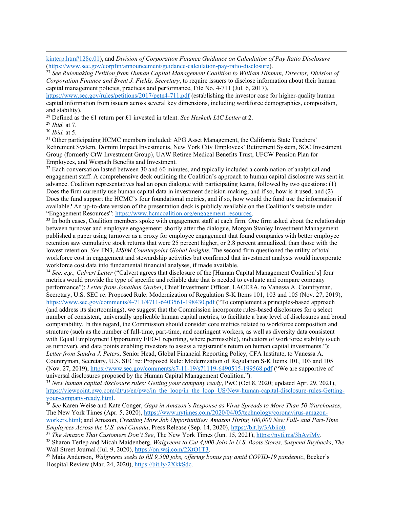[kinterp.htm#128c.01\)](https://www.sec.gov/divisions/corpfin/guidance/regs-kinterp.htm#128c.01), and *Division of Corporation Finance Guidance on Calculation of Pay Ratio Disclosure*

<span id="page-10-0"></span><sup>27</sup> See Rulemaking Petition from Human Capital Management Coalition to William Hinman, Director, Division of *Corporation Finance and Brent J. Fields, Secretary*, to require issuers to disclose information about their human capital management policies, practices and performance, File No. 4-711 (Jul. 6, 2017),

<span id="page-10-1"></span><https://www.sec.gov/rules/petitions/2017/petn4-711.pdf> (establishing the investor case for higher-quality human capital information from issuers across several key dimensions, including workforce demographics, composition, and stability).

<sup>28</sup> Defined as the £1 return per £1 invested in talent. *See Hesketh IAC Letter* at 2.

<span id="page-10-2"></span><sup>29</sup> *Ibid.* at 7.

<span id="page-10-3"></span>

<span id="page-10-4"></span><sup>31</sup> Other participating HCMC members included: APG Asset Management, the California State Teachers' Retirement System, Domini Impact Investments, New York City Employees' Retirement System, SOC Investment Group (formerly CtW Investment Group), UAW Retiree Medical Benefits Trust, UFCW Pension Plan for Employees, and Wespath Benefits and Investment.<br><sup>32</sup> Each conversation lasted between 30 and 60 minutes, and typically included a combination of analytical and

<span id="page-10-6"></span><span id="page-10-5"></span>engagement staff. A comprehensive deck outlining the Coalition's approach to human capital disclosure was sent in advance. Coalition representatives had an open dialogue with participating teams, followed by two questions: (1) Does the firm currently use human capital data in investment decision-making, and if so, how is it used; and (2) Does the fund support the HCMC's four foundational metrics, and if so, how would the fund use the information if available? An up-to-date version of the presentation deck is publicly available on the Coalition's website under<br>"Engagement Resources": https://www.hcmcoalition.org/engagement-resources.

<span id="page-10-7"></span> $33$  In both cases, Coalition members spoke with engagement staff at each firm. One firm asked about the relationship between turnover and employee engagement; shortly after the dialogue, Morgan Stanley Investment Management published a paper using turnover as a proxy for employee engagement that found companies with better employee retention saw cumulative stock returns that were 25 percent higher, or 2.8 percent annualized, than those with the lowest retention. *See* FN3, *MSIM Counterpoint Global Insights*. The second firm questioned the utility of total workforce cost in engagement and stewardship activities but confirmed that investment analysts would incorporate workforce cost data into fundamental financial analyses, if made available.

<span id="page-10-10"></span><span id="page-10-9"></span><span id="page-10-8"></span><sup>34</sup> *See, e.g., Calvert Letter* ("Calvert agrees that disclosure of the [Human Capital Management Coalition's] four metrics would provide the type of specific and reliable date that is needed to evaluate and compare company performance"); *Letter from Jonathan Grabel*, Chief Investment Officer, LACERA, to Vanessa A. Countryman, Secretary, U.S. SEC re: Proposed Rule: Modernization of Regulation S-K Items 101, 103 and 105 (Nov. 27, 2019), <https://www.sec.gov/comments/4-711/4711-6403561-198430.pdf> ("To complement a principles-based approach (and address its shortcomings), we suggest that the Commission incorporate rules-based disclosures for a select number of consistent, universally applicable human capital metrics, to facilitate a base level of disclosures and broad comparability. In this regard, the Commission should consider core metrics related to workforce composition and structure (such as the number of full-time, part-time, and contingent workers, as well as diversity data consistent with Equal Employment Opportunity EEO-1 reporting, where permissible), indicators of workforce stability (such as turnover), and data points enabling investors to assess a registrant's return on human capital investments."); *Letter from Sandra J. Peters*, Senior Head, Global Financial Reporting Policy, CFA Institute, to Vanessa A. Countryman, Secretary, U.S. SEC re: Proposed Rule: Modernization of Regulation S-K Items 101, 103 and 105 (Nov. 27, 2019),<https://www.sec.gov/comments/s7-11-19/s71119-6490515-199568.pdf> ("We are supportive of universal disclosures proposed by the Human Capital Management Coalition.").

<span id="page-10-12"></span><span id="page-10-11"></span><sup>35</sup> *New human capital disclosure rules: Getting your company ready*, PwC (Oct 8, 2020; updated Apr. 29, 2021), [https://viewpoint.pwc.com/dt/us/en/pwc/in\\_the\\_loop/in\\_the\\_loop\\_US/New-human-capital-disclosure-rules-Getting-](https://viewpoint.pwc.com/dt/us/en/pwc/in_the_loop/in_the_loop_US/New-human-capital-disclosure-rules-Getting-your-company-ready.html)

<span id="page-10-15"></span><span id="page-10-14"></span><span id="page-10-13"></span><sup>36</sup> See Karen Weise and Kate Conger, *Gaps in Amazon's Response as Virus Spreads to More Than 50 Warehouses*, The New York Times (Apr. 5, 2020), [https://www.nytimes.com/2020/04/05/technology/coronavirus-amazon](https://www.nytimes.com/2020/04/05/technology/coronavirus-amazon-workers.html)[workers.html;](https://www.nytimes.com/2020/04/05/technology/coronavirus-amazon-workers.html) and Amazon, *Creating More Job Opportunities: Amazon Hiring 100,000 New Full- and Part-Time* 

<span id="page-10-16"></span><sup>37</sup> The Amazon That Customers Don't See, The New York Times (Jun. 15, 2021),  $\frac{https://nyti.ms/3hAviMv}{https://nyti.ms/3hAviMv}$ .<br><sup>38</sup> Sharon Terlep and Micah Maidenberg, *Walgreens to Cut 4,000 Jobs in U.S. Boots Stores, Suspend Buybacks* 

<span id="page-10-18"></span><span id="page-10-17"></span>Wall Street Journal (Jul. 9, 2020), [https://on.wsj.com/2XtO1T3.](https://on.wsj.com/2XtO1T3)<br><sup>39</sup> Maia Anderson, *Walgreens seeks to fill 9,500 jobs, offering bonus pay amid COVID-19 pandemic*, Becker's

Hospital Review (Mar. 24, 2020), [https://bit.ly/2XkkSdc.](https://bit.ly/2XkkSdc)